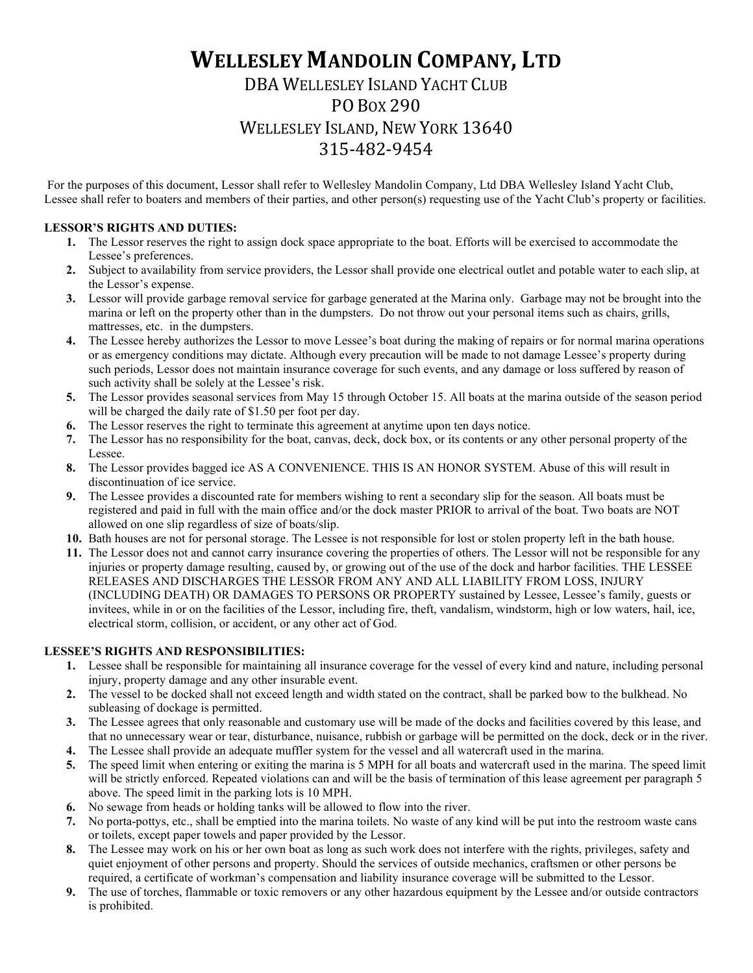# **WELLESLEY MANDOLIN COMPANY, LTD**

# DBA WELLESLEY ISLAND YACHT CLUB PO BOX 290 WELLESLEY ISLAND, NEW YORK 13640 315-482-9454

For the purposes of this document, Lessor shall refer to Wellesley Mandolin Company, Ltd DBA Wellesley Island Yacht Club, Lessee shall refer to boaters and members of their parties, and other person(s) requesting use of the Yacht Club's property or facilities.

### **LESSOR'S RIGHTS AND DUTIES:**

- **1.** The Lessor reserves the right to assign dock space appropriate to the boat. Efforts will be exercised to accommodate the Lessee's preferences.
- **2.** Subject to availability from service providers, the Lessor shall provide one electrical outlet and potable water to each slip, at the Lessor's expense.
- **3.** Lessor will provide garbage removal service for garbage generated at the Marina only. Garbage may not be brought into the marina or left on the property other than in the dumpsters. Do not throw out your personal items such as chairs, grills, mattresses, etc. in the dumpsters.
- **4.** The Lessee hereby authorizes the Lessor to move Lessee's boat during the making of repairs or for normal marina operations or as emergency conditions may dictate. Although every precaution will be made to not damage Lessee's property during such periods, Lessor does not maintain insurance coverage for such events, and any damage or loss suffered by reason of such activity shall be solely at the Lessee's risk.
- **5.** The Lessor provides seasonal services from May 15 through October 15. All boats at the marina outside of the season period will be charged the daily rate of \$1.50 per foot per day.
- **6.** The Lessor reserves the right to terminate this agreement at anytime upon ten days notice.
- **7.** The Lessor has no responsibility for the boat, canvas, deck, dock box, or its contents or any other personal property of the Lessee.
- **8.** The Lessor provides bagged ice AS A CONVENIENCE. THIS IS AN HONOR SYSTEM. Abuse of this will result in discontinuation of ice service.
- **9.** The Lessee provides a discounted rate for members wishing to rent a secondary slip for the season. All boats must be registered and paid in full with the main office and/or the dock master PRIOR to arrival of the boat. Two boats are NOT allowed on one slip regardless of size of boats/slip.
- **10.** Bath houses are not for personal storage. The Lessee is not responsible for lost or stolen property left in the bath house.
- **11.** The Lessor does not and cannot carry insurance covering the properties of others. The Lessor will not be responsible for any injuries or property damage resulting, caused by, or growing out of the use of the dock and harbor facilities. THE LESSEE RELEASES AND DISCHARGES THE LESSOR FROM ANY AND ALL LIABILITY FROM LOSS, INJURY (INCLUDING DEATH) OR DAMAGES TO PERSONS OR PROPERTY sustained by Lessee, Lessee's family, guests or invitees, while in or on the facilities of the Lessor, including fire, theft, vandalism, windstorm, high or low waters, hail, ice, electrical storm, collision, or accident, or any other act of God.

## **LESSEE'S RIGHTS AND RESPONSIBILITIES:**

- **1.** Lessee shall be responsible for maintaining all insurance coverage for the vessel of every kind and nature, including personal injury, property damage and any other insurable event.
- **2.** The vessel to be docked shall not exceed length and width stated on the contract, shall be parked bow to the bulkhead. No subleasing of dockage is permitted.
- **3.** The Lessee agrees that only reasonable and customary use will be made of the docks and facilities covered by this lease, and that no unnecessary wear or tear, disturbance, nuisance, rubbish or garbage will be permitted on the dock, deck or in the river.
- **4.** The Lessee shall provide an adequate muffler system for the vessel and all watercraft used in the marina.
- **5.** The speed limit when entering or exiting the marina is 5 MPH for all boats and watercraft used in the marina. The speed limit will be strictly enforced. Repeated violations can and will be the basis of termination of this lease agreement per paragraph 5 above. The speed limit in the parking lots is 10 MPH.
- **6.** No sewage from heads or holding tanks will be allowed to flow into the river.
- **7.** No porta-pottys, etc., shall be emptied into the marina toilets. No waste of any kind will be put into the restroom waste cans or toilets, except paper towels and paper provided by the Lessor.
- **8.** The Lessee may work on his or her own boat as long as such work does not interfere with the rights, privileges, safety and quiet enjoyment of other persons and property. Should the services of outside mechanics, craftsmen or other persons be required, a certificate of workman's compensation and liability insurance coverage will be submitted to the Lessor.
- **9.** The use of torches, flammable or toxic removers or any other hazardous equipment by the Lessee and/or outside contractors is prohibited.